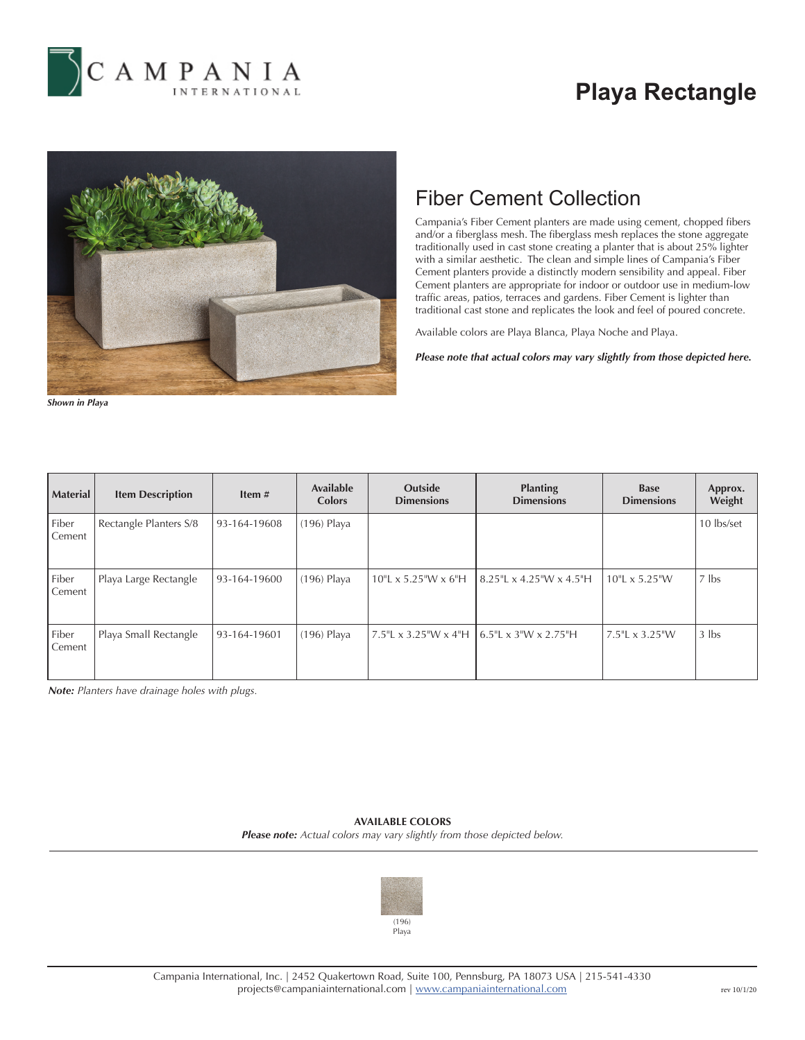

## **Playa Rectangle**



## Fiber Cement Collection

Campania's Fiber Cement planters are made using cement, chopped fibers and/or a fiberglass mesh. The fiberglass mesh replaces the stone aggregate traditionally used in cast stone creating a planter that is about 25% lighter with a similar aesthetic. The clean and simple lines of Campania's Fiber Cement planters provide a distinctly modern sensibility and appeal. Fiber Cement planters are appropriate for indoor or outdoor use in medium-low traffic areas, patios, terraces and gardens. Fiber Cement is lighter than traditional cast stone and replicates the look and feel of poured concrete.

Available colors are Playa Blanca, Playa Noche and Playa.

*Please note that actual colors may vary slightly from those depicted here.*

| Shown in Playa |
|----------------|
|----------------|

| <b>Material</b> | <b>Item Description</b> | Item#        | <b>Available</b><br>Colors | <b>Outside</b><br><b>Dimensions</b> | <b>Planting</b><br><b>Dimensions</b> | <b>Base</b><br><b>Dimensions</b> | Approx.<br>Weight |
|-----------------|-------------------------|--------------|----------------------------|-------------------------------------|--------------------------------------|----------------------------------|-------------------|
| Fiber<br>Cement | Rectangle Planters S/8  | 93-164-19608 | $(196)$ Playa              |                                     |                                      |                                  | 10 lbs/set        |
| Fiber<br>Cement | Playa Large Rectangle   | 93-164-19600 | $(196)$ Playa              | $10"L \times 5.25"W \times 6"H$     | $8.25$ "L x 4.25"W x 4.5"H           | $10"L \times 5.25"W$             | $7$ lbs           |
| Fiber<br>Cement | Playa Small Rectangle   | 93-164-19601 | $(196)$ Playa              | 7.5"L x 3.25"W x 4"H                | 6.5"L x 3"W x 2.75"H                 | 7.5"L x 3.25"W                   | $3$ lbs           |

*Note: Planters have drainage holes with plugs.*

## **AVAILABLE COLORS** *Please note: Actual colors may vary slightly from those depicted below.*